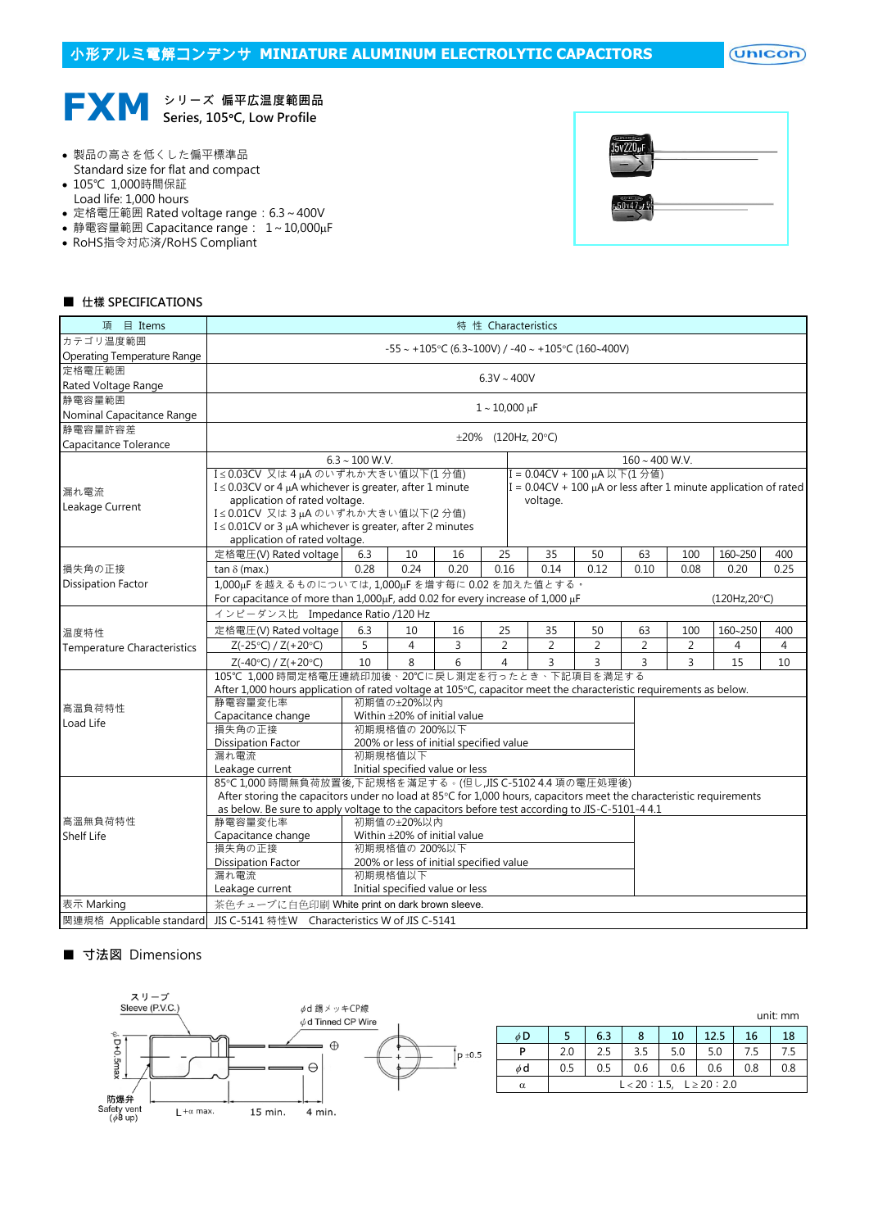

- 製品の高さを低くした偏平標準品 Standard size for flat and compact
- 105℃ 1,000時間保証
- Load life: 1,000 hours
- 定格電圧範囲 Rated voltage range: 6.3~400V
- 静電容量範囲 Capacitance range: 1~10,000µF
- RoHS指令対応済/RoHS Compliant

| œ<br>100.<br>υ |  |
|----------------|--|
|                |  |

## ■ 仕樣 SPECIFICATIONS

| 項 目 Items                          | 特 性 Characteristics                                                                                                 |                  |                                            |                |                |  |                             |                |                |                |                                                                      |                |
|------------------------------------|---------------------------------------------------------------------------------------------------------------------|------------------|--------------------------------------------|----------------|----------------|--|-----------------------------|----------------|----------------|----------------|----------------------------------------------------------------------|----------------|
| カテゴリ温度範囲                           | -55 ~ +105°C (6.3~100V) / -40 ~ +105°C (160~400V)                                                                   |                  |                                            |                |                |  |                             |                |                |                |                                                                      |                |
| Operating Temperature Range        |                                                                                                                     |                  |                                            |                |                |  |                             |                |                |                |                                                                      |                |
| 定格電圧範囲                             |                                                                                                                     |                  |                                            |                |                |  |                             |                |                |                |                                                                      |                |
| Rated Voltage Range                |                                                                                                                     | $6.3V \sim 400V$ |                                            |                |                |  |                             |                |                |                |                                                                      |                |
| 静電容量範囲                             |                                                                                                                     |                  |                                            |                |                |  |                             |                |                |                |                                                                      |                |
| Nominal Capacitance Range          | $1 - 10,000 \,\mu F$                                                                                                |                  |                                            |                |                |  |                             |                |                |                |                                                                      |                |
| 静電容量許容差                            |                                                                                                                     |                  |                                            |                |                |  |                             |                |                |                |                                                                      |                |
| Capacitance Tolerance              | ±20% (120Hz, 20°C)                                                                                                  |                  |                                            |                |                |  |                             |                |                |                |                                                                      |                |
|                                    | $6.3 \sim 100$ W.V.<br>$160 \sim 400$ W.V.                                                                          |                  |                                            |                |                |  |                             |                |                |                |                                                                      |                |
|                                    | I≤0.03CV 又は4 uAのいずれか大きい値以下(1分値)                                                                                     |                  |                                            |                |                |  | I = 0.04CV + 100 µA 以下(1分值) |                |                |                |                                                                      |                |
| 漏れ電流                               | $I \leq 0.03$ CV or 4 µA whichever is greater, after 1 minute                                                       |                  |                                            |                |                |  |                             |                |                |                | I = $0.04CV + 100 \mu A$ or less after 1 minute application of rated |                |
| Leakage Current                    | application of rated voltage.                                                                                       |                  |                                            |                |                |  | voltage.                    |                |                |                |                                                                      |                |
|                                    | I≤0.01CV 又は3µAのいずれか大きい値以下(2分値)                                                                                      |                  |                                            |                |                |  |                             |                |                |                |                                                                      |                |
|                                    | $I \leq 0.01$ CV or 3 µA whichever is greater, after 2 minutes                                                      |                  |                                            |                |                |  |                             |                |                |                |                                                                      |                |
|                                    | application of rated voltage.                                                                                       |                  |                                            |                |                |  |                             |                |                |                |                                                                      |                |
|                                    | 定格電圧(V) Rated voltage                                                                                               | 6.3              | 10                                         | 16             | 25             |  | 35                          | 50             | 63             | 100            | 160~250                                                              | 400            |
| 損失角の正接                             | tan $\delta$ (max.)                                                                                                 | 0.28             | 0.24                                       | 0.20           | 0.16           |  | 0.14                        | 0.12           | 0.10           | 0.08           | 0.20                                                                 | 0.25           |
| <b>Dissipation Factor</b>          | 1,000µFを越えるものについては,1,000µFを増す每に0.02を加えた値とする。                                                                        |                  |                                            |                |                |  |                             |                |                |                |                                                                      |                |
|                                    | For capacitance of more than 1,000µF, add 0.02 for every increase of 1,000 µF                                       |                  |                                            |                |                |  |                             |                |                |                | (120Hz,20°C)                                                         |                |
|                                    | インピーダンス比 Impedance Ratio /120 Hz                                                                                    |                  |                                            |                |                |  |                             |                |                |                |                                                                      |                |
| 温度特性                               | 定格電圧(V) Rated voltage                                                                                               | 6.3              | 10                                         | 16             | 25             |  | 35                          | 50             | 63             | 100            | 160~250                                                              | 400            |
| <b>Temperature Characteristics</b> | Z(-25°C) / Z(+20°C)                                                                                                 | 5                | $\overline{4}$                             | $\overline{3}$ | 2              |  | $\overline{2}$              | $\overline{2}$ | $\overline{2}$ | $\overline{2}$ | 4                                                                    | $\overline{4}$ |
|                                    | $Z(-40°C) / Z(+20°C)$                                                                                               | 10               | 8                                          | 6              | $\overline{4}$ |  | 3                           | 3              | $\overline{3}$ | 3              | 15                                                                   | 10             |
|                                    | 105℃ 1.000 時間定格電圧連続印加後、20℃に戻し測定を行ったとき、下記項目を満足する                                                                     |                  |                                            |                |                |  |                             |                |                |                |                                                                      |                |
|                                    | After 1,000 hours application of rated voltage at 105°C, capacitor meet the characteristic requirements as below.   |                  |                                            |                |                |  |                             |                |                |                |                                                                      |                |
| 高温負荷特性                             | 静電容量変化率                                                                                                             |                  | 初期値の+20%以内                                 |                |                |  |                             |                |                |                |                                                                      |                |
| Load Life                          | Capacitance change                                                                                                  |                  | Within ±20% of initial value               |                |                |  |                             |                |                |                |                                                                      |                |
|                                    | 損失角の正接                                                                                                              |                  | 初期規格值の 200%以下                              |                |                |  |                             |                |                |                |                                                                      |                |
|                                    | <b>Dissipation Factor</b>                                                                                           |                  | 200% or less of initial specified value    |                |                |  |                             |                |                |                |                                                                      |                |
|                                    | 漏れ電流                                                                                                                |                  | 初期規格值以下                                    |                |                |  |                             |                |                |                |                                                                      |                |
|                                    | Leakage current                                                                                                     |                  | Initial specified value or less            |                |                |  |                             |                |                |                |                                                                      |                |
|                                    | 85℃1,000 時間無負荷放置後,下記規格を滿足する。(但し,JIS C-5102 4.4 項の電圧処理後)                                                             |                  |                                            |                |                |  |                             |                |                |                |                                                                      |                |
|                                    | After storing the capacitors under no load at 85°C for 1,000 hours, capacitors meet the characteristic requirements |                  |                                            |                |                |  |                             |                |                |                |                                                                      |                |
|                                    | as below. Be sure to apply voltage to the capacitors before test according to JIS-C-5101-4 4.1                      |                  |                                            |                |                |  |                             |                |                |                |                                                                      |                |
| 高溫無負荷特性                            | 静電容量変化率<br>初期值の±20%以内<br>Within $\pm 20\%$ of initial value                                                         |                  |                                            |                |                |  |                             |                |                |                |                                                                      |                |
| Shelf Life                         | Capacitance change<br>損失角の正接                                                                                        |                  | 初期規格值の 200%以下                              |                |                |  |                             |                |                |                |                                                                      |                |
|                                    |                                                                                                                     |                  |                                            |                |                |  |                             |                |                |                |                                                                      |                |
|                                    | <b>Dissipation Factor</b><br>漏れ電流                                                                                   |                  | 200% or less of initial specified value    |                |                |  |                             |                |                |                |                                                                      |                |
|                                    | Leakage current                                                                                                     |                  | 初期規格值以下<br>Initial specified value or less |                |                |  |                             |                |                |                |                                                                      |                |
|                                    |                                                                                                                     |                  |                                            |                |                |  |                             |                |                |                |                                                                      |                |
| 表示 Marking                         | 茶色チューブに白色印刷 White print on dark brown sleeve.                                                                       |                  |                                            |                |                |  |                             |                |                |                |                                                                      |                |
| 関連規格 Applicable standard           | JIS C-5141 特性W Characteristics W of JIS C-5141                                                                      |                  |                                            |                |                |  |                             |                |                |                |                                                                      |                |

## ■ 寸法図 Dimensions